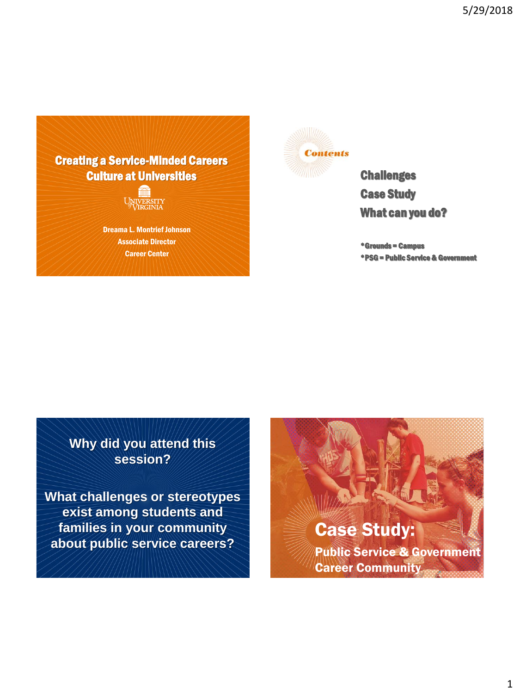

Dreama L. Montrief Johnson Associate Director Career Center



**Challenges** Case Study What can you do?

\*Grounds = Campus \*PSG = Public Service & Government

**Why did you attend this session?**

**What challenges or stereotypes exist among students and families in your community about public service careers?**

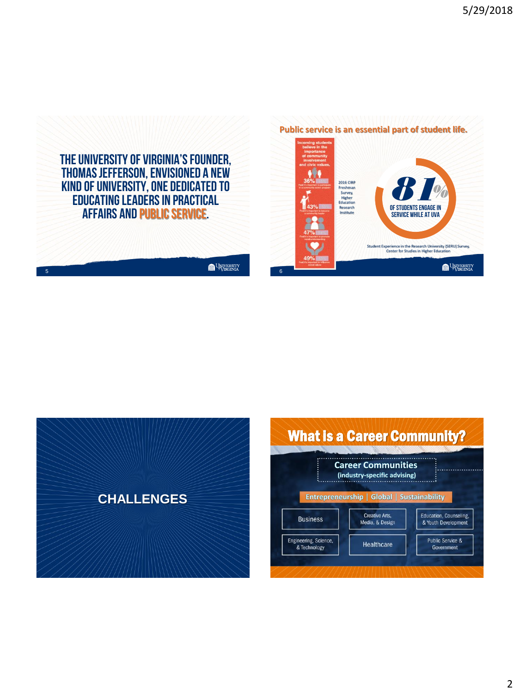

5

 $\begin{picture}(180,10) \put(0,0){\line(1,0){10}} \put(10,0){\line(1,0){10}} \put(10,0){\line(1,0){10}} \put(10,0){\line(1,0){10}} \put(10,0){\line(1,0){10}} \put(10,0){\line(1,0){10}} \put(10,0){\line(1,0){10}} \put(10,0){\line(1,0){10}} \put(10,0){\line(1,0){10}} \put(10,0){\line(1,0){10}} \put(10,0){\line(1,0){10}} \put(10,0){\line($ 







#### 2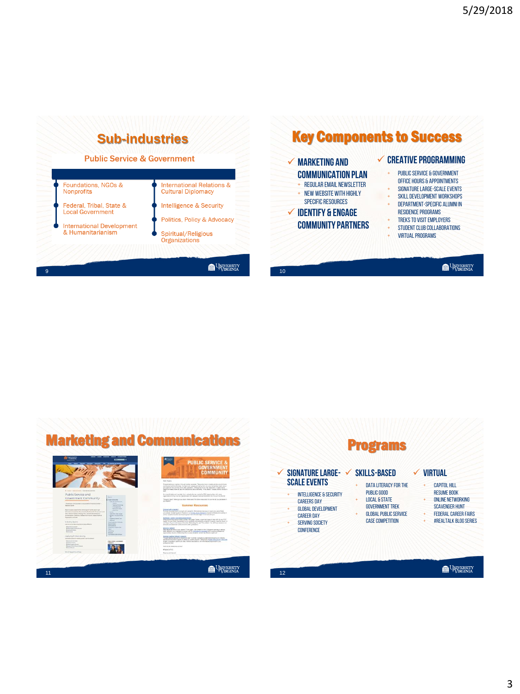

## Key Components to Success

#### **CREATIVE programming Marketing and**  + Public Service & Government **Communication plan** Office hours & appointments + Regular email newsletter SIGNATURE LARGE-SCALE EVENTS + NEW website with highly + Skill development workshops specific resources DEPARTMENT-SPECIFIC ALUMNI IN **Identify & Engage**  Residence programs + Treks to visit employers **Community partners** + Student CLUB collaborations **VIRTUAL PROGRAMS** UNIVERSITY<br>VIRGINIA 10



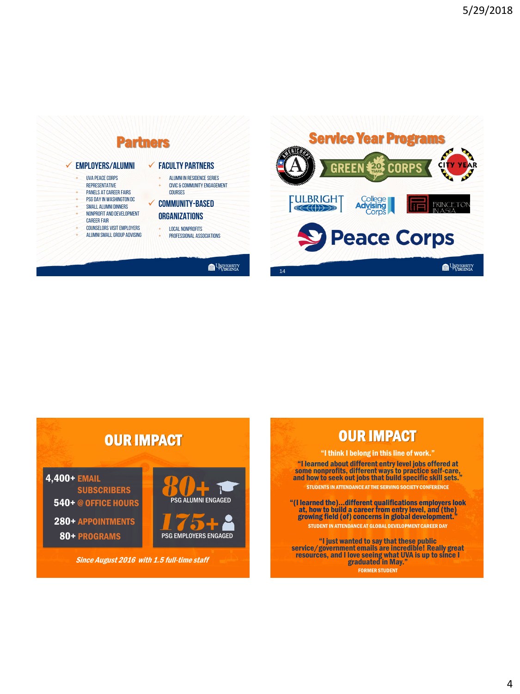



# OUR IMPACT

540+ @ OFFICE HOURS 280+ APPOINTMENTS 4,400+ EMAIL **SUBSCRIBERS** 

80+ PROGRAMS





Since August 2016 with 1.5 full-time staff

# OUR IMPACT

"I think I belong in this line of work." "I learned about different entry level jobs offered at some nonprofits, different ways to practice self-care, and how to seek out jobs that build specific skill sets." STUDENTS IN ATTENDANCE AT THE SERVING SOCIETY CONFERENCE

"(I learned the)…different qualifications employers look at, how to build a career from entry level, and (the) growing field (of) concerns in global development." STUDENT IN ATTENDANCE AT GLOBAL DEVELOPMENT CAREER DAY

"I just wanted to say that these public service/government emails are incredible! Really great resources, and I love seeing what UVA is up to since I graduated in May." FORMER STUDENT